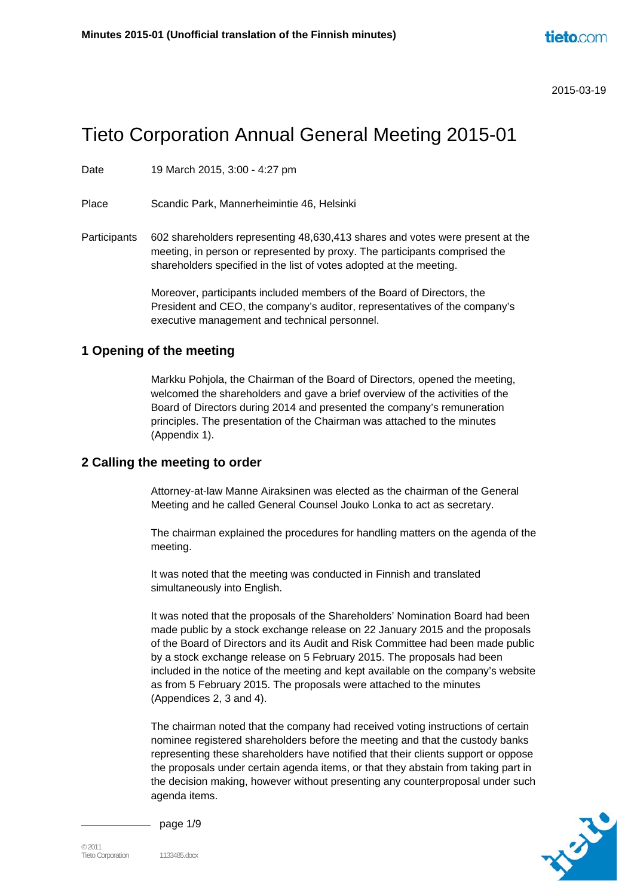# Tieto Corporation Annual General Meeting 2015-01

Date 19 March 2015, 3:00 - 4:27 pm

Place Scandic Park, Mannerheimintie 46, Helsinki

Participants 602 shareholders representing 48,630,413 shares and votes were present at the meeting, in person or represented by proxy. The participants comprised the shareholders specified in the list of votes adopted at the meeting.

> Moreover, participants included members of the Board of Directors, the President and CEO, the company's auditor, representatives of the company's executive management and technical personnel.

#### **1 Opening of the meeting**

Markku Pohjola, the Chairman of the Board of Directors, opened the meeting, welcomed the shareholders and gave a brief overview of the activities of the Board of Directors during 2014 and presented the company's remuneration principles. The presentation of the Chairman was attached to the minutes (Appendix 1).

#### **2 Calling the meeting to order**

Attorney-at-law Manne Airaksinen was elected as the chairman of the General Meeting and he called General Counsel Jouko Lonka to act as secretary.

The chairman explained the procedures for handling matters on the agenda of the meeting.

It was noted that the meeting was conducted in Finnish and translated simultaneously into English.

It was noted that the proposals of the Shareholders' Nomination Board had been made public by a stock exchange release on 22 January 2015 and the proposals of the Board of Directors and its Audit and Risk Committee had been made public by a stock exchange release on 5 February 2015. The proposals had been included in the notice of the meeting and kept available on the company's website as from 5 February 2015. The proposals were attached to the minutes (Appendices 2, 3 and 4).

The chairman noted that the company had received voting instructions of certain nominee registered shareholders before the meeting and that the custody banks representing these shareholders have notified that their clients support or oppose the proposals under certain agenda items, or that they abstain from taking part in the decision making, however without presenting any counterproposal under such agenda items.



page 1/9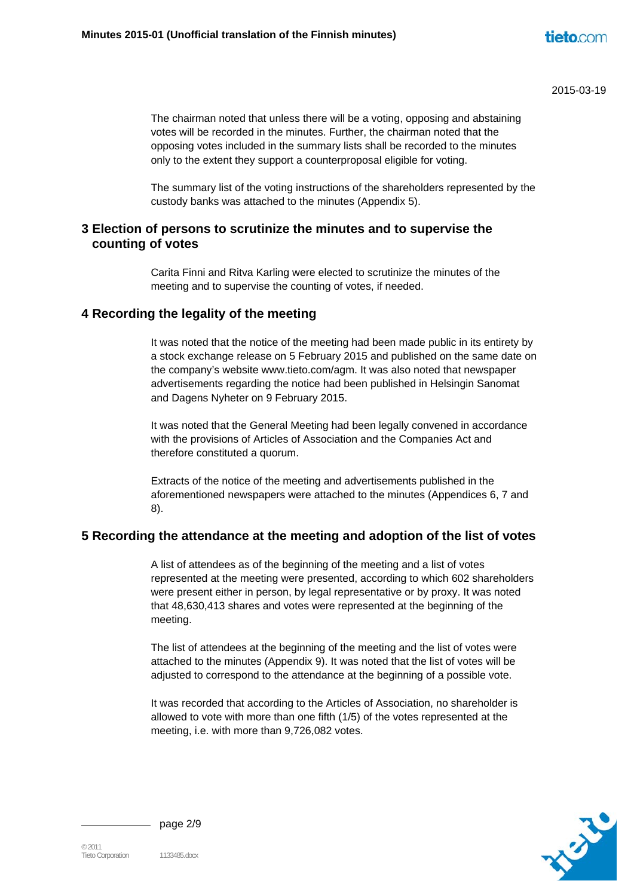The chairman noted that unless there will be a voting, opposing and abstaining votes will be recorded in the minutes. Further, the chairman noted that the opposing votes included in the summary lists shall be recorded to the minutes only to the extent they support a counterproposal eligible for voting.

The summary list of the voting instructions of the shareholders represented by the custody banks was attached to the minutes (Appendix 5).

## **3 Election of persons to scrutinize the minutes and to supervise the counting of votes**

Carita Finni and Ritva Karling were elected to scrutinize the minutes of the meeting and to supervise the counting of votes, if needed.

#### **4 Recording the legality of the meeting**

It was noted that the notice of the meeting had been made public in its entirety by a stock exchange release on 5 February 2015 and published on the same date on the company's website www.tieto.com/agm. It was also noted that newspaper advertisements regarding the notice had been published in Helsingin Sanomat and Dagens Nyheter on 9 February 2015.

It was noted that the General Meeting had been legally convened in accordance with the provisions of Articles of Association and the Companies Act and therefore constituted a quorum.

Extracts of the notice of the meeting and advertisements published in the aforementioned newspapers were attached to the minutes (Appendices 6, 7 and 8).

## **5 Recording the attendance at the meeting and adoption of the list of votes**

A list of attendees as of the beginning of the meeting and a list of votes represented at the meeting were presented, according to which 602 shareholders were present either in person, by legal representative or by proxy. It was noted that 48,630,413 shares and votes were represented at the beginning of the meeting.

The list of attendees at the beginning of the meeting and the list of votes were attached to the minutes (Appendix 9). It was noted that the list of votes will be adjusted to correspond to the attendance at the beginning of a possible vote.

It was recorded that according to the Articles of Association, no shareholder is allowed to vote with more than one fifth (1/5) of the votes represented at the meeting, i.e. with more than 9,726,082 votes.



page 2/9

 $°$  2011 Tieto Corporation 1133485.docx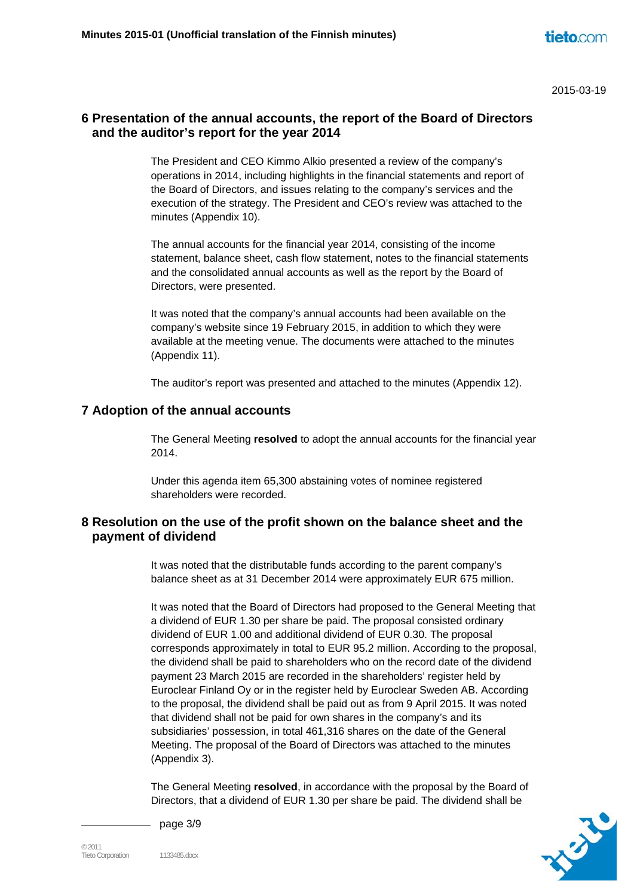# **6 Presentation of the annual accounts, the report of the Board of Directors and the auditor's report for the year 2014**

The President and CEO Kimmo Alkio presented a review of the company's operations in 2014, including highlights in the financial statements and report of the Board of Directors, and issues relating to the company's services and the execution of the strategy. The President and CEO's review was attached to the minutes (Appendix 10).

The annual accounts for the financial year 2014, consisting of the income statement, balance sheet, cash flow statement, notes to the financial statements and the consolidated annual accounts as well as the report by the Board of Directors, were presented.

It was noted that the company's annual accounts had been available on the company's website since 19 February 2015, in addition to which they were available at the meeting venue. The documents were attached to the minutes (Appendix 11).

The auditor's report was presented and attached to the minutes (Appendix 12).

#### **7 Adoption of the annual accounts**

The General Meeting **resolved** to adopt the annual accounts for the financial year 2014.

Under this agenda item 65,300 abstaining votes of nominee registered shareholders were recorded.

# **8 Resolution on the use of the profit shown on the balance sheet and the payment of dividend**

It was noted that the distributable funds according to the parent company's balance sheet as at 31 December 2014 were approximately EUR 675 million.

It was noted that the Board of Directors had proposed to the General Meeting that a dividend of EUR 1.30 per share be paid. The proposal consisted ordinary dividend of EUR 1.00 and additional dividend of EUR 0.30. The proposal corresponds approximately in total to EUR 95.2 million. According to the proposal, the dividend shall be paid to shareholders who on the record date of the dividend payment 23 March 2015 are recorded in the shareholders' register held by Euroclear Finland Oy or in the register held by Euroclear Sweden AB. According to the proposal, the dividend shall be paid out as from 9 April 2015. It was noted that dividend shall not be paid for own shares in the company's and its subsidiaries' possession, in total 461,316 shares on the date of the General Meeting. The proposal of the Board of Directors was attached to the minutes (Appendix 3).

The General Meeting **resolved**, in accordance with the proposal by the Board of Directors, that a dividend of EUR 1.30 per share be paid. The dividend shall be



page 3/9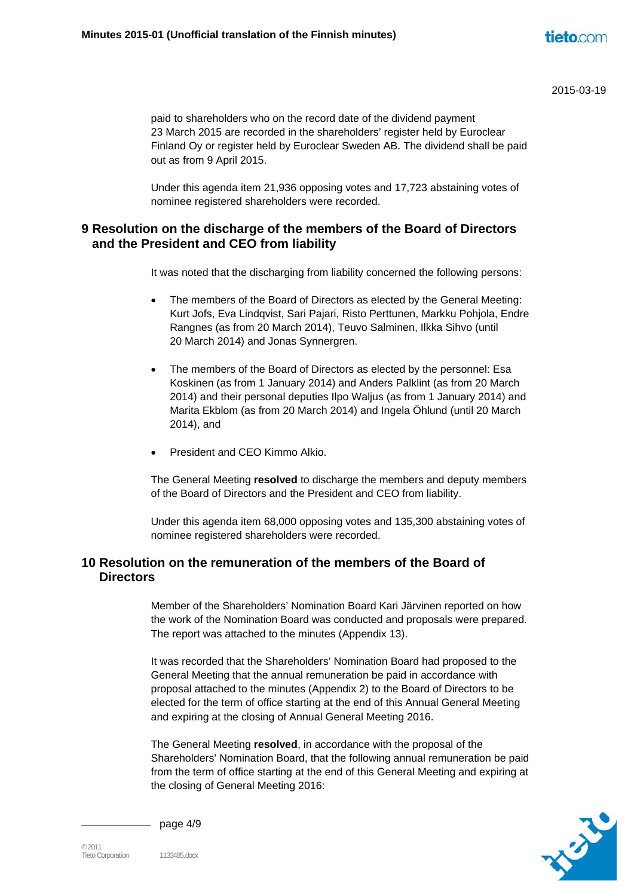paid to shareholders who on the record date of the dividend payment 23 March 2015 are recorded in the shareholders' register held by Euroclear Finland Oy or register held by Euroclear Sweden AB. The dividend shall be paid out as from 9 April 2015.

Under this agenda item 21,936 opposing votes and 17,723 abstaining votes of nominee registered shareholders were recorded.

# **9 Resolution on the discharge of the members of the Board of Directors and the President and CEO from liability**

It was noted that the discharging from liability concerned the following persons:

- The members of the Board of Directors as elected by the General Meeting: Kurt Jofs, Eva Lindqvist, Sari Pajari, Risto Perttunen, Markku Pohjola, Endre Rangnes (as from 20 March 2014), Teuvo Salminen, Ilkka Sihvo (until 20 March 2014) and Jonas Synnergren.
- The members of the Board of Directors as elected by the personnel: Esa Koskinen (as from 1 January 2014) and Anders Palklint (as from 20 March 2014) and their personal deputies Ilpo Waljus (as from 1 January 2014) and Marita Ekblom (as from 20 March 2014) and Ingela Öhlund (until 20 March 2014), and
- President and CEO Kimmo Alkio.

The General Meeting **resolved** to discharge the members and deputy members of the Board of Directors and the President and CEO from liability.

Under this agenda item 68,000 opposing votes and 135,300 abstaining votes of nominee registered shareholders were recorded.

# **10 Resolution on the remuneration of the members of the Board of Directors**

Member of the Shareholders' Nomination Board Kari Järvinen reported on how the work of the Nomination Board was conducted and proposals were prepared. The report was attached to the minutes (Appendix 13).

It was recorded that the Shareholders' Nomination Board had proposed to the General Meeting that the annual remuneration be paid in accordance with proposal attached to the minutes (Appendix 2) to the Board of Directors to be elected for the term of office starting at the end of this Annual General Meeting and expiring at the closing of Annual General Meeting 2016.

The General Meeting **resolved**, in accordance with the proposal of the Shareholders' Nomination Board, that the following annual remuneration be paid from the term of office starting at the end of this General Meeting and expiring at the closing of General Meeting 2016:



page 4/9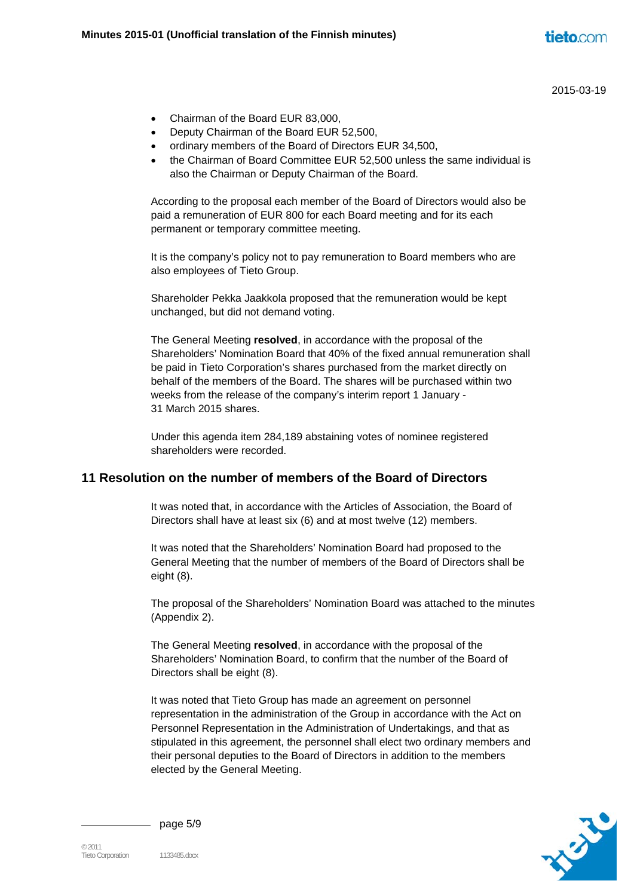- Chairman of the Board EUR 83,000,
- Deputy Chairman of the Board EUR 52,500,
- ordinary members of the Board of Directors EUR 34,500,
- the Chairman of Board Committee EUR 52,500 unless the same individual is also the Chairman or Deputy Chairman of the Board.

According to the proposal each member of the Board of Directors would also be paid a remuneration of EUR 800 for each Board meeting and for its each permanent or temporary committee meeting.

It is the company's policy not to pay remuneration to Board members who are also employees of Tieto Group.

Shareholder Pekka Jaakkola proposed that the remuneration would be kept unchanged, but did not demand voting.

The General Meeting **resolved**, in accordance with the proposal of the Shareholders' Nomination Board that 40% of the fixed annual remuneration shall be paid in Tieto Corporation's shares purchased from the market directly on behalf of the members of the Board. The shares will be purchased within two weeks from the release of the company's interim report 1 January - 31 March 2015 shares.

Under this agenda item 284,189 abstaining votes of nominee registered shareholders were recorded.

## **11 Resolution on the number of members of the Board of Directors**

It was noted that, in accordance with the Articles of Association, the Board of Directors shall have at least six (6) and at most twelve (12) members.

It was noted that the Shareholders' Nomination Board had proposed to the General Meeting that the number of members of the Board of Directors shall be eight (8).

The proposal of the Shareholders' Nomination Board was attached to the minutes (Appendix 2).

The General Meeting **resolved**, in accordance with the proposal of the Shareholders' Nomination Board, to confirm that the number of the Board of Directors shall be eight (8).

It was noted that Tieto Group has made an agreement on personnel representation in the administration of the Group in accordance with the Act on Personnel Representation in the Administration of Undertakings, and that as stipulated in this agreement, the personnel shall elect two ordinary members and their personal deputies to the Board of Directors in addition to the members elected by the General Meeting.



page 5/9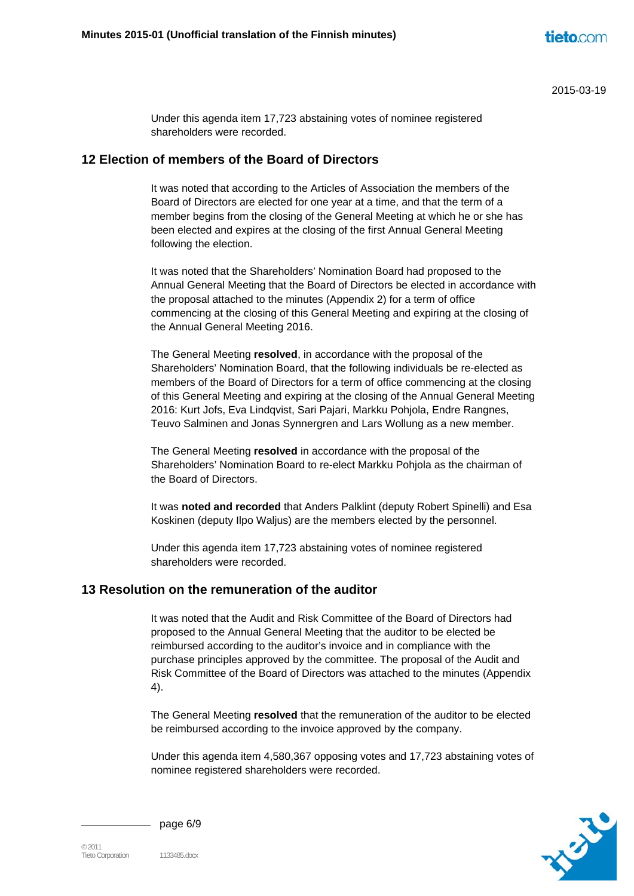Under this agenda item 17,723 abstaining votes of nominee registered shareholders were recorded.

#### **12 Election of members of the Board of Directors**

It was noted that according to the Articles of Association the members of the Board of Directors are elected for one year at a time, and that the term of a member begins from the closing of the General Meeting at which he or she has been elected and expires at the closing of the first Annual General Meeting following the election.

It was noted that the Shareholders' Nomination Board had proposed to the Annual General Meeting that the Board of Directors be elected in accordance with the proposal attached to the minutes (Appendix 2) for a term of office commencing at the closing of this General Meeting and expiring at the closing of the Annual General Meeting 2016.

The General Meeting **resolved**, in accordance with the proposal of the Shareholders' Nomination Board, that the following individuals be re-elected as members of the Board of Directors for a term of office commencing at the closing of this General Meeting and expiring at the closing of the Annual General Meeting 2016: Kurt Jofs, Eva Lindqvist, Sari Pajari, Markku Pohjola, Endre Rangnes, Teuvo Salminen and Jonas Synnergren and Lars Wollung as a new member.

The General Meeting **resolved** in accordance with the proposal of the Shareholders' Nomination Board to re-elect Markku Pohjola as the chairman of the Board of Directors.

It was **noted and recorded** that Anders Palklint (deputy Robert Spinelli) and Esa Koskinen (deputy Ilpo Waljus) are the members elected by the personnel.

Under this agenda item 17,723 abstaining votes of nominee registered shareholders were recorded.

## **13 Resolution on the remuneration of the auditor**

It was noted that the Audit and Risk Committee of the Board of Directors had proposed to the Annual General Meeting that the auditor to be elected be reimbursed according to the auditor's invoice and in compliance with the purchase principles approved by the committee. The proposal of the Audit and Risk Committee of the Board of Directors was attached to the minutes (Appendix 4).

The General Meeting **resolved** that the remuneration of the auditor to be elected be reimbursed according to the invoice approved by the company.

Under this agenda item 4,580,367 opposing votes and 17,723 abstaining votes of nominee registered shareholders were recorded.



page 6/9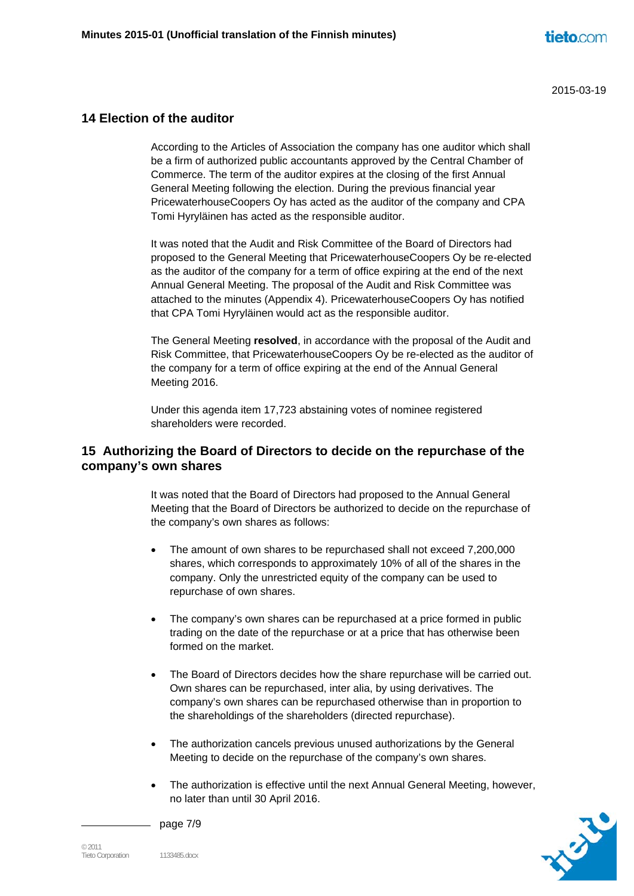# **14 Election of the auditor**

According to the Articles of Association the company has one auditor which shall be a firm of authorized public accountants approved by the Central Chamber of Commerce. The term of the auditor expires at the closing of the first Annual General Meeting following the election. During the previous financial year PricewaterhouseCoopers Oy has acted as the auditor of the company and CPA Tomi Hyryläinen has acted as the responsible auditor.

It was noted that the Audit and Risk Committee of the Board of Directors had proposed to the General Meeting that PricewaterhouseCoopers Oy be re-elected as the auditor of the company for a term of office expiring at the end of the next Annual General Meeting. The proposal of the Audit and Risk Committee was attached to the minutes (Appendix 4). PricewaterhouseCoopers Oy has notified that CPA Tomi Hyryläinen would act as the responsible auditor.

The General Meeting **resolved**, in accordance with the proposal of the Audit and Risk Committee, that PricewaterhouseCoopers Oy be re-elected as the auditor of the company for a term of office expiring at the end of the Annual General Meeting 2016.

Under this agenda item 17,723 abstaining votes of nominee registered shareholders were recorded.

# **15 Authorizing the Board of Directors to decide on the repurchase of the company's own shares**

It was noted that the Board of Directors had proposed to the Annual General Meeting that the Board of Directors be authorized to decide on the repurchase of the company's own shares as follows:

- The amount of own shares to be repurchased shall not exceed 7,200,000 shares, which corresponds to approximately 10% of all of the shares in the company. Only the unrestricted equity of the company can be used to repurchase of own shares.
- The company's own shares can be repurchased at a price formed in public trading on the date of the repurchase or at a price that has otherwise been formed on the market.
- The Board of Directors decides how the share repurchase will be carried out. Own shares can be repurchased, inter alia, by using derivatives. The company's own shares can be repurchased otherwise than in proportion to the shareholdings of the shareholders (directed repurchase).
- The authorization cancels previous unused authorizations by the General Meeting to decide on the repurchase of the company's own shares.
- The authorization is effective until the next Annual General Meeting, however, no later than until 30 April 2016.

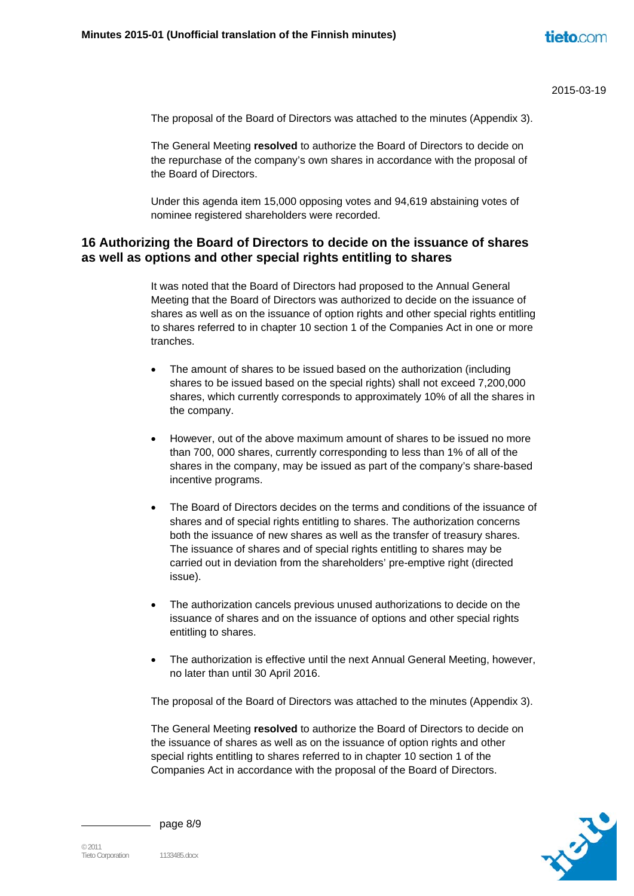The proposal of the Board of Directors was attached to the minutes (Appendix 3).

The General Meeting **resolved** to authorize the Board of Directors to decide on the repurchase of the company's own shares in accordance with the proposal of the Board of Directors.

Under this agenda item 15,000 opposing votes and 94,619 abstaining votes of nominee registered shareholders were recorded.

#### **16 Authorizing the Board of Directors to decide on the issuance of shares as well as options and other special rights entitling to shares**

It was noted that the Board of Directors had proposed to the Annual General Meeting that the Board of Directors was authorized to decide on the issuance of shares as well as on the issuance of option rights and other special rights entitling to shares referred to in chapter 10 section 1 of the Companies Act in one or more tranches.

- The amount of shares to be issued based on the authorization (including shares to be issued based on the special rights) shall not exceed 7,200,000 shares, which currently corresponds to approximately 10% of all the shares in the company.
- However, out of the above maximum amount of shares to be issued no more than 700, 000 shares, currently corresponding to less than 1% of all of the shares in the company, may be issued as part of the company's share-based incentive programs.
- The Board of Directors decides on the terms and conditions of the issuance of shares and of special rights entitling to shares. The authorization concerns both the issuance of new shares as well as the transfer of treasury shares. The issuance of shares and of special rights entitling to shares may be carried out in deviation from the shareholders' pre-emptive right (directed issue).
- The authorization cancels previous unused authorizations to decide on the issuance of shares and on the issuance of options and other special rights entitling to shares.
- The authorization is effective until the next Annual General Meeting, however, no later than until 30 April 2016.

The proposal of the Board of Directors was attached to the minutes (Appendix 3).

The General Meeting **resolved** to authorize the Board of Directors to decide on the issuance of shares as well as on the issuance of option rights and other special rights entitling to shares referred to in chapter 10 section 1 of the Companies Act in accordance with the proposal of the Board of Directors.